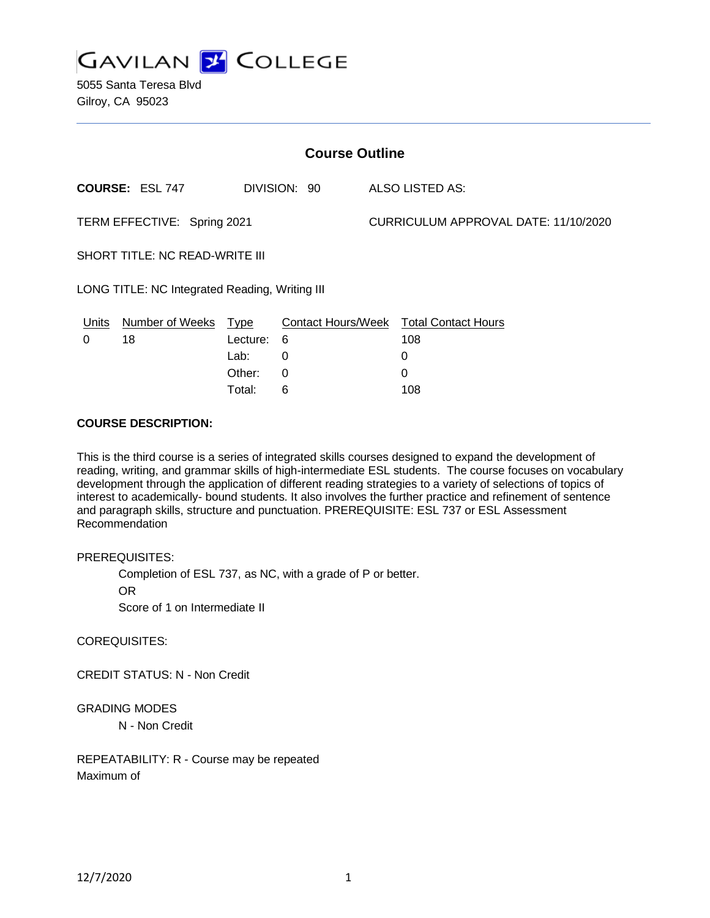

5055 Santa Teresa Blvd Gilroy, CA 95023

| <b>Course Outline</b>                          |                        |             |                           |                                      |                            |
|------------------------------------------------|------------------------|-------------|---------------------------|--------------------------------------|----------------------------|
|                                                | <b>COURSE: ESL 747</b> |             | DIVISION: 90              |                                      | <b>ALSO LISTED AS:</b>     |
| TERM EFFECTIVE: Spring 2021                    |                        |             |                           | CURRICULUM APPROVAL DATE: 11/10/2020 |                            |
| SHORT TITLE: NC READ-WRITE III                 |                        |             |                           |                                      |                            |
| LONG TITLE: NC Integrated Reading, Writing III |                        |             |                           |                                      |                            |
| <u>Units</u>                                   | <b>Number of Weeks</b> | <b>Type</b> | <b>Contact Hours/Week</b> |                                      | <b>Total Contact Hours</b> |
| 0                                              | 18                     | Lecture:    | 6                         |                                      | 108                        |
|                                                |                        | Lab:        | 0                         |                                      | 0                          |
|                                                |                        | Other:      | 0                         |                                      | $\Omega$                   |
|                                                |                        | Total:      | 6                         |                                      | 108                        |

#### **COURSE DESCRIPTION:**

This is the third course is a series of integrated skills courses designed to expand the development of reading, writing, and grammar skills of high-intermediate ESL students. The course focuses on vocabulary development through the application of different reading strategies to a variety of selections of topics of interest to academically- bound students. It also involves the further practice and refinement of sentence and paragraph skills, structure and punctuation. PREREQUISITE: ESL 737 or ESL Assessment Recommendation

#### PREREQUISITES:

Completion of ESL 737, as NC, with a grade of P or better.

OR

Score of 1 on Intermediate II

### COREQUISITES:

CREDIT STATUS: N - Non Credit

### GRADING MODES

N - Non Credit

REPEATABILITY: R - Course may be repeated Maximum of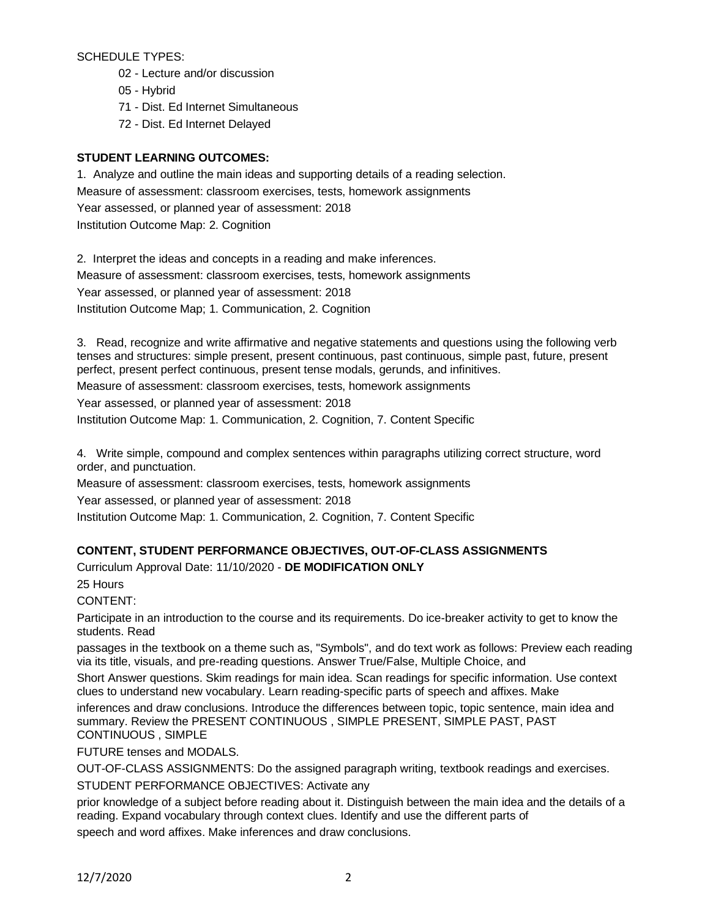SCHEDULE TYPES:

- 02 Lecture and/or discussion
- 05 Hybrid
- 71 Dist. Ed Internet Simultaneous
- 72 Dist. Ed Internet Delayed

## **STUDENT LEARNING OUTCOMES:**

1. Analyze and outline the main ideas and supporting details of a reading selection. Measure of assessment: classroom exercises, tests, homework assignments Year assessed, or planned year of assessment: 2018 Institution Outcome Map: 2. Cognition

2. Interpret the ideas and concepts in a reading and make inferences. Measure of assessment: classroom exercises, tests, homework assignments Year assessed, or planned year of assessment: 2018 Institution Outcome Map; 1. Communication, 2. Cognition

3. Read, recognize and write affirmative and negative statements and questions using the following verb tenses and structures: simple present, present continuous, past continuous, simple past, future, present perfect, present perfect continuous, present tense modals, gerunds, and infinitives.

Measure of assessment: classroom exercises, tests, homework assignments

Year assessed, or planned year of assessment: 2018

Institution Outcome Map: 1. Communication, 2. Cognition, 7. Content Specific

4. Write simple, compound and complex sentences within paragraphs utilizing correct structure, word order, and punctuation.

Measure of assessment: classroom exercises, tests, homework assignments

Year assessed, or planned year of assessment: 2018

Institution Outcome Map: 1. Communication, 2. Cognition, 7. Content Specific

# **CONTENT, STUDENT PERFORMANCE OBJECTIVES, OUT-OF-CLASS ASSIGNMENTS**

Curriculum Approval Date: 11/10/2020 - **DE MODIFICATION ONLY**

25 Hours

CONTENT:

Participate in an introduction to the course and its requirements. Do ice-breaker activity to get to know the students. Read

passages in the textbook on a theme such as, "Symbols", and do text work as follows: Preview each reading via its title, visuals, and pre-reading questions. Answer True/False, Multiple Choice, and

Short Answer questions. Skim readings for main idea. Scan readings for specific information. Use context clues to understand new vocabulary. Learn reading-specific parts of speech and affixes. Make

inferences and draw conclusions. Introduce the differences between topic, topic sentence, main idea and summary. Review the PRESENT CONTINUOUS , SIMPLE PRESENT, SIMPLE PAST, PAST CONTINUOUS , SIMPLE

FUTURE tenses and MODALS.

OUT-OF-CLASS ASSIGNMENTS: Do the assigned paragraph writing, textbook readings and exercises. STUDENT PERFORMANCE OBJECTIVES: Activate any

prior knowledge of a subject before reading about it. Distinguish between the main idea and the details of a reading. Expand vocabulary through context clues. Identify and use the different parts of speech and word affixes. Make inferences and draw conclusions.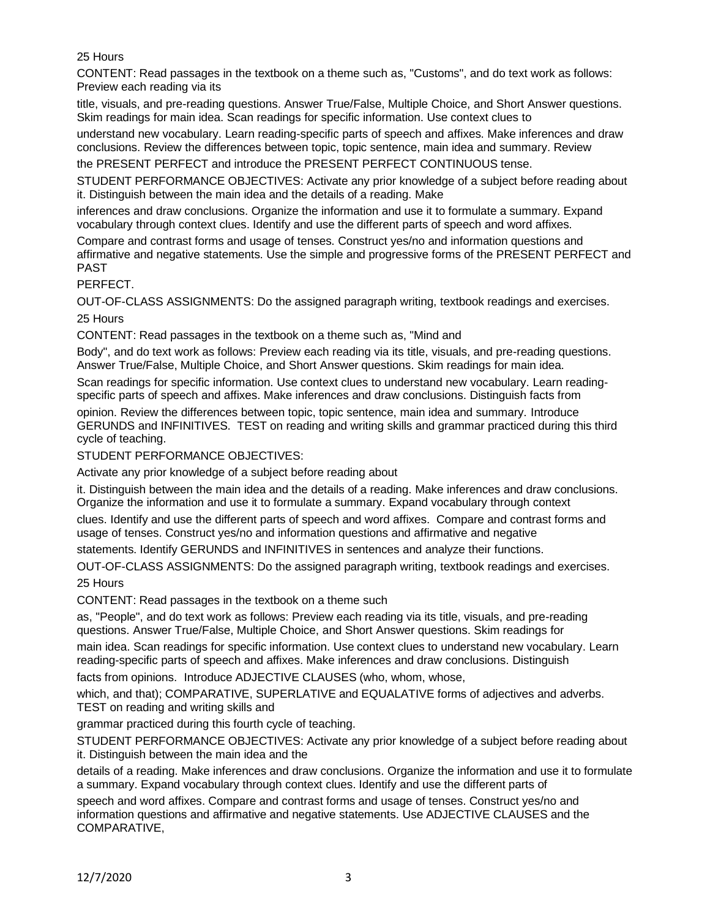## 25 Hours

CONTENT: Read passages in the textbook on a theme such as, "Customs", and do text work as follows: Preview each reading via its

title, visuals, and pre-reading questions. Answer True/False, Multiple Choice, and Short Answer questions. Skim readings for main idea. Scan readings for specific information. Use context clues to

understand new vocabulary. Learn reading-specific parts of speech and affixes. Make inferences and draw conclusions. Review the differences between topic, topic sentence, main idea and summary. Review

the PRESENT PERFECT and introduce the PRESENT PERFECT CONTINUOUS tense.

STUDENT PERFORMANCE OBJECTIVES: Activate any prior knowledge of a subject before reading about it. Distinguish between the main idea and the details of a reading. Make

inferences and draw conclusions. Organize the information and use it to formulate a summary. Expand vocabulary through context clues. Identify and use the different parts of speech and word affixes.

Compare and contrast forms and usage of tenses. Construct yes/no and information questions and affirmative and negative statements. Use the simple and progressive forms of the PRESENT PERFECT and PAST

PERFECT.

OUT-OF-CLASS ASSIGNMENTS: Do the assigned paragraph writing, textbook readings and exercises.

25 Hours

CONTENT: Read passages in the textbook on a theme such as, "Mind and

Body", and do text work as follows: Preview each reading via its title, visuals, and pre-reading questions. Answer True/False, Multiple Choice, and Short Answer questions. Skim readings for main idea.

Scan readings for specific information. Use context clues to understand new vocabulary. Learn readingspecific parts of speech and affixes. Make inferences and draw conclusions. Distinguish facts from

opinion. Review the differences between topic, topic sentence, main idea and summary. Introduce GERUNDS and INFINITIVES. TEST on reading and writing skills and grammar practiced during this third cycle of teaching.

STUDENT PERFORMANCE OBJECTIVES:

Activate any prior knowledge of a subject before reading about

it. Distinguish between the main idea and the details of a reading. Make inferences and draw conclusions. Organize the information and use it to formulate a summary. Expand vocabulary through context

clues. Identify and use the different parts of speech and word affixes. Compare and contrast forms and usage of tenses. Construct yes/no and information questions and affirmative and negative

statements. Identify GERUNDS and INFINITIVES in sentences and analyze their functions.

OUT-OF-CLASS ASSIGNMENTS: Do the assigned paragraph writing, textbook readings and exercises.

25 Hours

CONTENT: Read passages in the textbook on a theme such

as, "People", and do text work as follows: Preview each reading via its title, visuals, and pre-reading questions. Answer True/False, Multiple Choice, and Short Answer questions. Skim readings for

main idea. Scan readings for specific information. Use context clues to understand new vocabulary. Learn reading-specific parts of speech and affixes. Make inferences and draw conclusions. Distinguish

facts from opinions. Introduce ADJECTIVE CLAUSES (who, whom, whose,

which, and that); COMPARATIVE, SUPERLATIVE and EQUALATIVE forms of adjectives and adverbs. TEST on reading and writing skills and

grammar practiced during this fourth cycle of teaching.

STUDENT PERFORMANCE OBJECTIVES: Activate any prior knowledge of a subject before reading about it. Distinguish between the main idea and the

details of a reading. Make inferences and draw conclusions. Organize the information and use it to formulate a summary. Expand vocabulary through context clues. Identify and use the different parts of

speech and word affixes. Compare and contrast forms and usage of tenses. Construct yes/no and information questions and affirmative and negative statements. Use ADJECTIVE CLAUSES and the COMPARATIVE,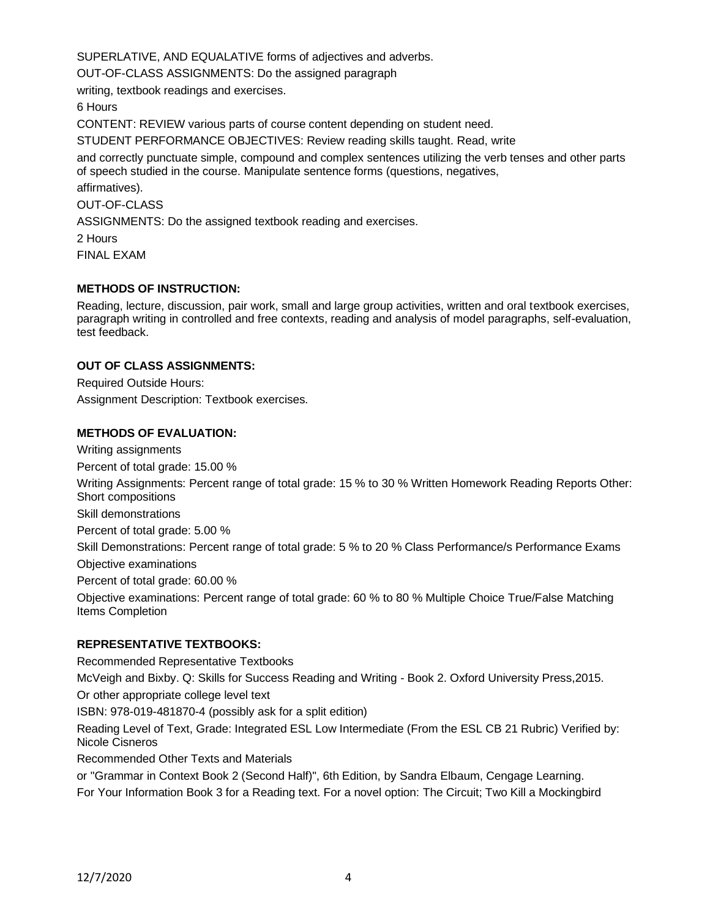SUPERLATIVE, AND EQUALATIVE forms of adjectives and adverbs.

OUT-OF-CLASS ASSIGNMENTS: Do the assigned paragraph

writing, textbook readings and exercises.

6 Hours

CONTENT: REVIEW various parts of course content depending on student need.

STUDENT PERFORMANCE OBJECTIVES: Review reading skills taught. Read, write

and correctly punctuate simple, compound and complex sentences utilizing the verb tenses and other parts of speech studied in the course. Manipulate sentence forms (questions, negatives,

affirmatives).

OUT-OF-CLASS

ASSIGNMENTS: Do the assigned textbook reading and exercises.

2 Hours FINAL EXAM

### **METHODS OF INSTRUCTION:**

Reading, lecture, discussion, pair work, small and large group activities, written and oral textbook exercises, paragraph writing in controlled and free contexts, reading and analysis of model paragraphs, self-evaluation, test feedback.

## **OUT OF CLASS ASSIGNMENTS:**

Required Outside Hours: Assignment Description: Textbook exercises.

## **METHODS OF EVALUATION:**

Percent of total grade: 15.00 % Writing Assignments: Percent range of total grade: 15 % to 30 % Written Homework Reading Reports Other: Short compositions

Skill demonstrations

Writing assignments

Percent of total grade: 5.00 %

Skill Demonstrations: Percent range of total grade: 5 % to 20 % Class Performance/s Performance Exams Objective examinations

Percent of total grade: 60.00 %

Objective examinations: Percent range of total grade: 60 % to 80 % Multiple Choice True/False Matching Items Completion

## **REPRESENTATIVE TEXTBOOKS:**

Recommended Representative Textbooks McVeigh and Bixby. Q: Skills for Success Reading and Writing - Book 2. Oxford University Press,2015. Or other appropriate college level text ISBN: 978-019-481870-4 (possibly ask for a split edition) Reading Level of Text, Grade: Integrated ESL Low Intermediate (From the ESL CB 21 Rubric) Verified by: Nicole Cisneros Recommended Other Texts and Materials or "Grammar in Context Book 2 (Second Half)", 6th Edition, by Sandra Elbaum, Cengage Learning.

For Your Information Book 3 for a Reading text. For a novel option: The Circuit; Two Kill a Mockingbird